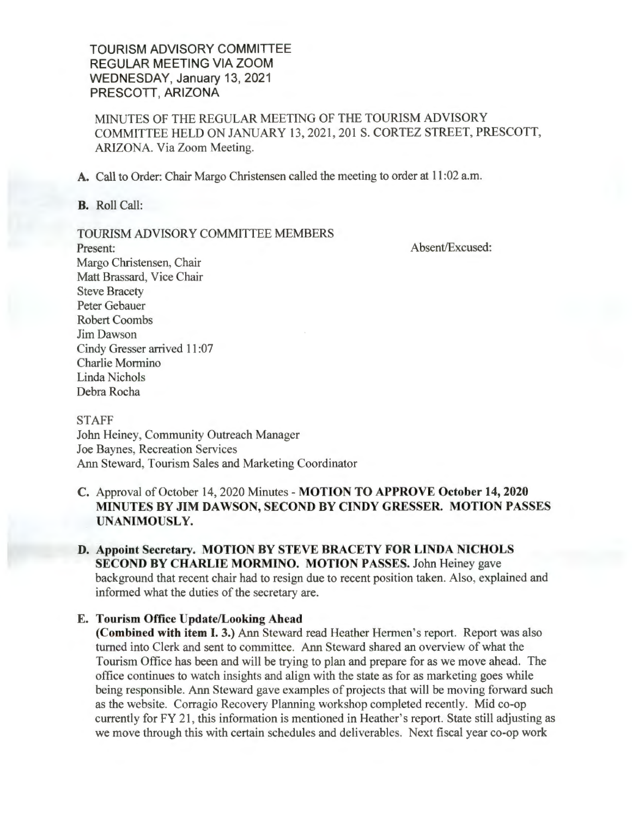**TOURISM ADVISORY COMMITTEE REGULAR MEETING VIA ZOOM WEDNESDAY, January** 13, **2021 PRESCOTT, ARIZONA** 

MINUTES OF THE REGULAR MEETING OF THE TOURISM ADVISORY COMMITTEE HELD ON JANUARY 13 , 2021 , 201 S. CORTEZ STREET, PRESCOTT, ARIZONA. Via Zoom Meeting.

**A.** Call to Order: Chair Margo Christensen called the meeting to order at 11 :02 a.m.

**B.** Roll Call:

#### TOURISM ADVISORY COMMITTEE MEMBERS

Absent/Excused:

Present: Margo Christensen, Chair Matt Brassard, Vice Chair Steve Bracety Peter Gebauer Robert Coombs Jim Dawson Cindy Gresser arrived 11 :07 Charlie Mormino Linda Nichols Debra Rocha

**STAFF** John Heiney, Community Outreach Manager Joe Baynes, Recreation Services Ann Steward, Tourism Sales and Marketing Coordinator

## **C.** Approval of October 14, 2020 Minutes - **MOTION TO APPROVE October 14, 2020 MINUTES BY JIM DAWSON, SECOND BY CINDY GRESSER. MOTION PASSES UNANIMOUSLY.**

### **D. Appoint Secretary. MOTION BY STEVE BRACETY FOR LINDA NICHOLS SECOND BY CHARLIE MORMINO. MOTION PASSES.** John Heiney gave background that recent chair had to resign due to recent position taken. Also, explained and informed what the duties of the secretary are.

### **E. Tourism Office Update/Looking Ahead**

**(Combined with item I. 3.)** Ann Steward read Heather Hermen's report. Report was also turned into Clerk and sent to committee. Ann Steward shared an overview of what the Tourism Office has been and will be trying to plan and prepare for as we move ahead. The office continues to watch insights and align with the state as for as marketing goes while being responsible. Ann Steward gave examples of projects that will be moving forward such as the website. Corragio Recovery Planning workshop completed recently. Mid co-op currently for FY 21 , this information is mentioned in Heather's report. State still adjusting as we move through this with certain schedules and deliverables. Next fiscal year co-op work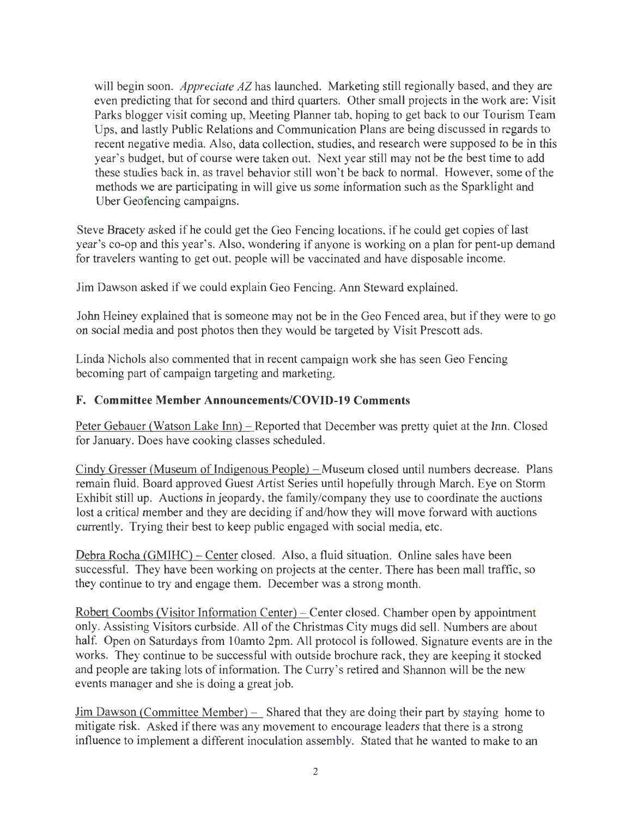will begin soon. *Appreciate AZ* has launched. Marketing still regionally based, and they are even predicting that for second and third quarters. Other small projects in the work are: Visit Parks blogger visit coming up, Meeting Planner tab, hoping to get back to our Tourism Team Ups, and lastly Public Relations and Communication Plans are being discussed in regards to recent negative media. Also, data collection, studies, and research were supposed to be in this year's budget, but of course were taken out. Next year still may not be the best time to add these studies back in, as travel behavior still won't be back to normal. However, some of the methods we are participating in will give us some information such as the Sparklight and Uber Geofencing campaigns.

Steve Bracety asked if he could get the Geo Fencing locations, if he could get copies of last year's co-op and this year's. Also, wondering if anyone is working on a plan for pent-up demand for travelers wanting to get out, people will be vaccinated and have disposable income.

Jim Dawson asked if we could explain Geo Fencing. Ann Steward explained.

John Heiney explained that is someone may not be in the Geo Fenced area, but if they were to go on social media and post photos then they would be targeted by Visit Prescott ads.

Linda Nichols also commented that in recent campaign work she has seen Geo Fencing becoming part of campaign targeting and marketing.

## **F. Committee Member Announcements/COVID-19 Comments**

Peter Gebauer (Watson Lake Inn) - Reported that December was pretty quiet at the Inn. Closed for January. Does have cooking classes scheduled.

Cindy Gresser (Museum of Indigenous People) – Museum closed until numbers decrease. Plans remain fluid. Board approved Guest Artist Series until hopefully through March. Eye on Storm Exhibit still up. Auctions in jeopardy, the family/company they use to coordinate the auctions lost a critical member and they are deciding if and/how they will move forward with auctions currently. Trying their best to keep public engaged with social media, etc.

Debra Rocha CGMIHC) - Center closed. Also, a fluid situation. Online sales have been successful. They have been working on projects at the center. There has been mall traffic, so they continue to try and engage them. December was a strong month.

Robert Coombs (Visitor Information Center) – Center closed. Chamber open by appointment only. Assisting Visitors curbside. All of the Christmas City mugs did sell. Numbers are about half. Open on Saturdays from 10amto 2pm. All protocol is followed. Signature events are in the works. They continue to be successful with outside brochure rack, they are keeping it stocked and people are taking lots of information. The Curry's retired and Shannon will be the new events manager and she is doing a great job.

Jim Dawson (Committee Member) – Shared that they are doing their part by staying home to mitigate risk. Asked if there was any movement to encourage leaders that there is a strong influence to implement a different inoculation assembly. Stated that he wanted to make to an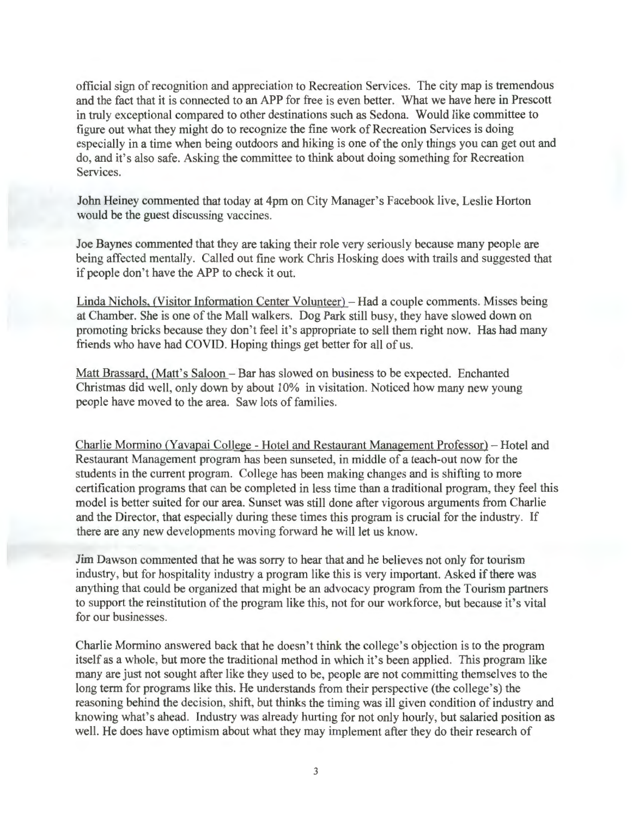official sign of recognition and appreciation to Recreation Services. The city map is tremendous and the fact that it is connected to an APP for free is even better. What we have here in Prescott in truly exceptional compared to other destinations such as Sedona. Would like committee to figure out what they might do to recognize the fine work of Recreation Services is doing especially in a time when being outdoors and hiking is one of the only things you can get out and do, and it's also safe. Asking the committee to think about doing something for Recreation Services.

John Heiney commented that today at 4pm on City Manager's Facebook live, Leslie Horton would be the guest discussing vaccines.

Joe Baynes commented that they are taking their role very seriously because many people are being affected mentally. Called out fine work Chris Hosking does with trails and suggested that if people don't have the APP to check it out.

Linda Nichols, (Visitor Information Center Volunteer) - Had a couple comments. Misses being at Chamber. She is one of the Mall walkers. Dog Park still busy, they have slowed down on promoting bricks because they don't feel it's appropriate to sell them right now. Has had many friends who have had COVID. Hoping things get better for all of us.

Matt Brassard, (Matt's Saloon - Bar has slowed on business to be expected. Enchanted Christmas did well, only down by about 10% in visitation. Noticed how many new young people have moved to the area. Saw lots of families.

Charlie Mormino (Yavapai College - Hotel and Restaurant Management Professor) - Hotel and Restaurant Management program has been sunseted, in middle of a teach-out now for the students in the current program. College has been making changes and is shifting to more certification programs that can be completed in less time than a traditional program, they feel this model is better suited for our area. Sunset was still done after vigorous arguments from Charlie and the Director, that especially during these times this program is crucial for the industry. If there are any new developments moving forward he will let us know.

Jim Dawson commented that he was sorry to hear that and he believes not only for tourism industry, but for hospitality industry a program like this is very important. Asked if there was anything that could be organized that might be an advocacy program from the Tourism partners to support the reinstitution of the program like this, not for our workforce, but because it's vital for our businesses.

Charlie Mormino answered back that he doesn't think the college's objection is to the program itself as a whole, but more the traditional method in which it's been applied. This program like many are just not sought after like they used to be, people are not committing themselves to the long term for programs like this. He understands from their perspective (the college's) the reasoning behind the decision, shift, but thinks the timing was ill given condition of industry and knowing what's ahead. Industry was already hurting for not only hourly, but salaried position as well. He does have optimism about what they may implement after they do their research of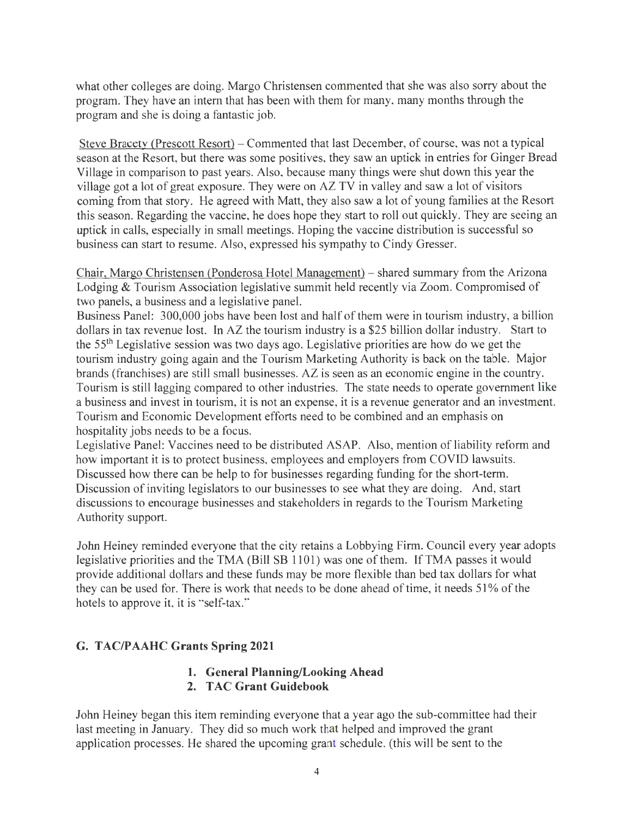what other colleges are doing. Margo Christensen commented that she was also sorry about the program. They have an intern that has been with them for many, many months through the program and she is doing a fantastic job.

Steve Bracety (Prescott Resort) – Commented that last December, of course, was not a typical season at the Resort, but there was some positives, they saw an uptick in entries for Ginger Bread Village in comparison to past years. Also, because many things were shut down this year the village got a lot of great exposure. They were on AZ TV in valley and saw a lot of visitors coming from that story. He agreed with Matt, they also saw a lot of young families at the Resort this season. Regarding the vaccine, he does hope they start to roll out quickly. They are seeing an uptick in calls, especially in small meetings. Hoping the vaccine distribution is successful so business can start to resume. Also, expressed his sympathy to Cindy Gresser.

Chair, Margo Christensen (Ponderosa Hotel Management) - shared summary from the Arizona Lodging & Tourism Association legislative summit held recently via Zoom. Compromised of two panels, a business and a legislative panel.

Business Panel: 300,000 jobs have been lost and half of them were in tourism industry, a billion dollars in tax revenue lost. In AZ the tourism industry is a \$25 billion dollar industry. Start to the 55th Legislative session was two days ago. Legislative priorities are how do we get the tourism industry going again and the Tourism Marketing Authority is back on the table. Major brands (franchises) are still small businesses. AZ is seen as an economic engine in the country. Tourism is still lagging compared to other industries. The state needs to operate government like a business and invest in tourism, it is not an expense, it is a revenue generator and an investment. Tourism and Economic Development efforts need to be combined and an emphasis on hospitality jobs needs to be a focus.

Legislative Panel: Vaccines need to be distributed ASAP. Also, mention of liability reform and how important it is to protect business, employees and employers from COVID lawsuits. Discussed how there can be help to for businesses regarding funding for the short-term. Discussion of inviting legislators to our businesses to see what they are doing. And, start discussions to encourage businesses and stakeholders in regards to the Tourism Marketing Authority support.

John Heiney reminded everyone that the city retains a Lobbying Firm. Council every year adopts legislative priorities and the TMA (Bill SB 1101) was one of them. If TMA passes it would provide additional dollars and these funds may be more flexible than bed tax dollars for what they can be used for. There is work that needs to be done ahead of time, it needs 51 % of the hotels to approve it, it is "self-tax."

# **G. TAC/PAAHC Grants Spring 2021**

#### **1. General Planning/Looking Ahead 2. TAC Grant Guidebook**

John Heiney began this item reminding everyone that a year ago the sub-committee had their last meeting in January. They did so much work that helped and improved the grant application processes. He shared the upcoming grant schedule. (this will be sent to the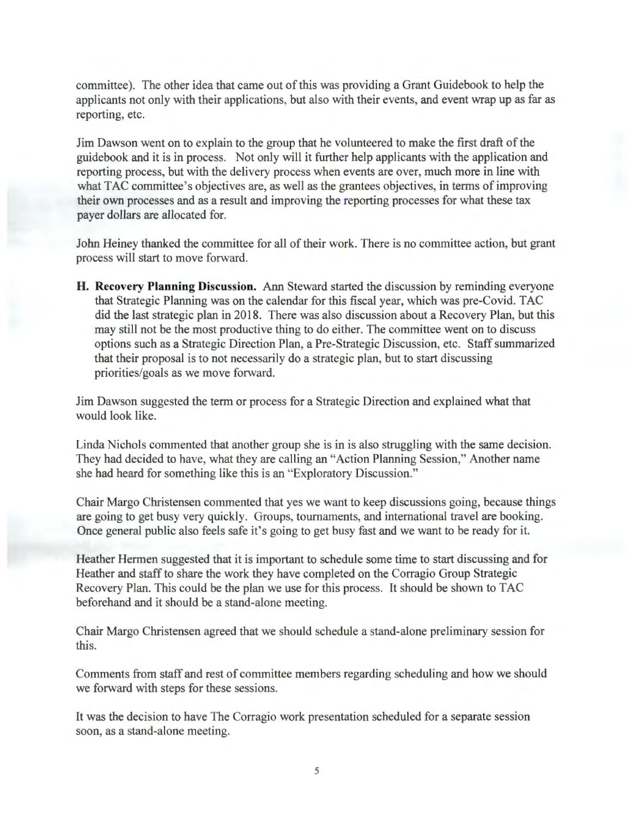committee). The other idea that came out of this was providing a Grant Guidebook to help the applicants not only with their applications, but also with their events, and event wrap up as far as reporting, etc.

Jim Dawson went on to explain to the group that he volunteered to make the first draft of the guidebook and it is in process. Not only will it further help applicants with the application and reporting process, but with the delivery process when events are over, much more in line with what TAC committee's objectives are, as well as the grantees objectives, in terms of improving their own processes and as a result and improving the reporting processes for what these tax payer dollars are allocated for.

John Heiney thanked the committee for all of their work. There is no committee action, but grant process will start to move forward.

**H. Recovery Planning Discussion.** Ann Steward started the discussion by reminding everyone that Strategic Planning was on the calendar for this fiscal year, which was pre-Covid. TAC did the last strategic plan in 2018. There was also discussion about a Recovery Plan, but this may still not be the most productive thing to do either. The committee went on to discuss options such as a Strategic Direction Plan, a Pre-Strategic Discussion, etc. Staff summarized that their proposal is to not necessarily do a strategic plan, but to start discussing priorities/goals as we move forward.

Jim Dawson suggested the term or process for a Strategic Direction and explained what that would look like.

Linda Nichols commented that another group she is in is also struggling with the same decision. They had decided to have, what they are calling an "Action Planning Session," Another name she had heard for something like this is an "Exploratory Discussion."

Chair Margo Christensen commented that yes we want to keep discussions going, because things are going to get busy very quickly. Groups, tournaments, and international travel are booking. Once general public also feels safe it's going to get busy fast and we want to be ready for it.

Heather Hermen suggested that it is important to schedule some time to start discussing and for Heather and staff to share the work they have completed on the Corragio Group Strategic Recovery Plan. This could be the plan we use for this process. It should be shown to TAC beforehand and it should be a stand-alone meeting.

Chair Margo Christensen agreed that we should schedule a stand-alone preliminary session for this.

Comments from staff and rest of committee members regarding scheduling and how we should we forward with steps for these sessions.

It was the decision to have The Corragio work presentation scheduled for a separate session soon, as a stand-alone meeting.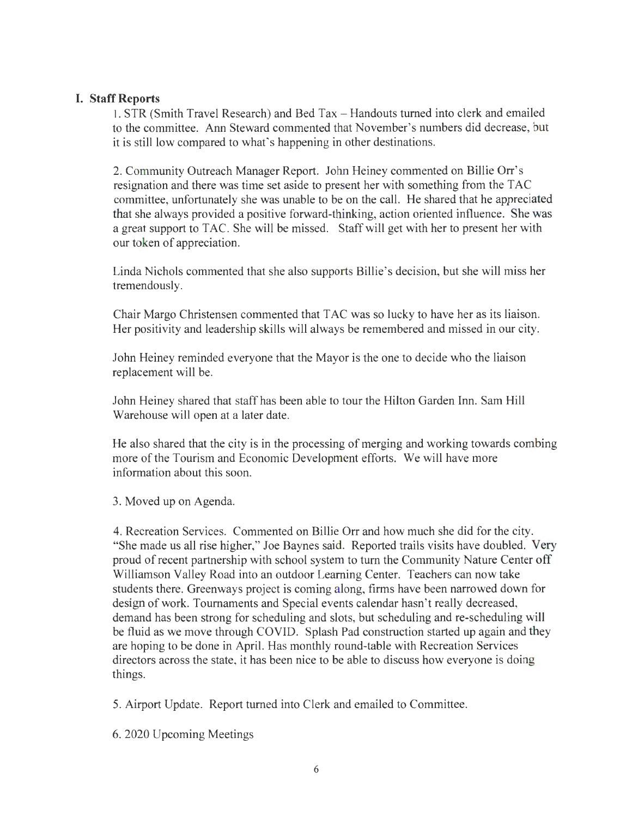## **I. Staff Reports**

I. STR (Smith Travel Research) and Bed Tax - Handouts turned into clerk and emailed to the committee. Ann Steward commented that November's numbers did decrease, but it is still low compared to what's happening in other destinations.

2. Community Outreach Manager Report. John Heiney commented on Billie Orr's resignation and there was time set aside to present her with something from the TAC committee, unfortunately she was unable to be on the call. He shared that he appreciated that she always provided a positive forward-thinking, action oriented influence. She was a great support to TAC. She will be missed. Staff will get with her to present her with our token of appreciation.

Linda Nichols commented that she also supports Billie's decision, but she will miss her tremendously.

Chair Margo Christensen commented that TAC was so lucky to have her as its liaison. Her positivity and leadership skills will always be remembered and missed in our city.

John Heiney reminded everyone that the Mayor is the one to decide who the liaison replacement will be.

John Heiney shared that staff has been able to tour the Hilton Garden Inn. Sam Hill Warehouse will open at a later date.

He also shared that the city is in the processing of merging and working towards combing more of the Tourism and Economic Development efforts. We will have more information about this soon.

3. Moved up on Agenda.

4. Recreation Services. Commented on Billie Orr and how much she did for the city. "She made us all rise higher," Joe Baynes said. Reported trails visits have doubled. Very proud of recent partnership with school system to turn the Community Nature Center off Williamson Valley Road into an outdoor Leaming Center. Teachers can now take students there. Greenways project is coming along, firms have been narrowed down for design of work. Tournaments and Special events calendar hasn't really decreased, demand has been strong for scheduling and slots, but scheduling and re-scheduling will be fluid as we move through COVID. Splash Pad construction started up again and they are hoping to be done in April. Has monthly round-table with Recreation Services directors across the state, it has been nice to be able to discuss how everyone is doing things.

5. Airport Update. Report turned into Clerk and emailed to Committee.

6. 2020 Upcoming Meetings